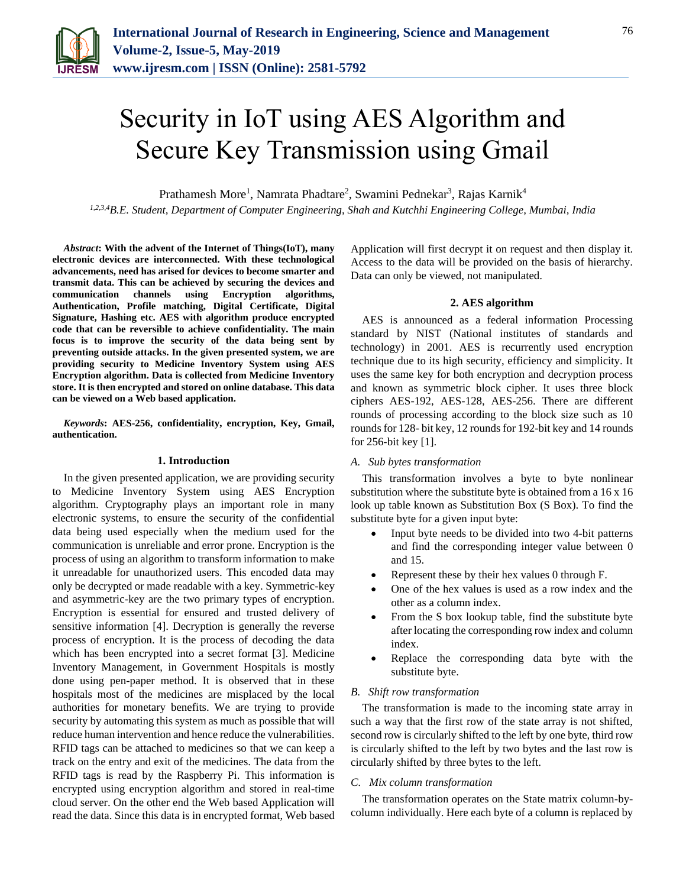

# Security in IoT using AES Algorithm and Secure Key Transmission using Gmail

Prathamesh More<sup>1</sup>, Namrata Phadtare<sup>2</sup>, Swamini Pednekar<sup>3</sup>, Rajas Karnik<sup>4</sup>

*1,2,3,4B.E. Student, Department of Computer Engineering, Shah and Kutchhi Engineering College, Mumbai, India*

*Abstract***: With the advent of the Internet of Things(IoT), many electronic devices are interconnected. With these technological advancements, need has arised for devices to become smarter and transmit data. This can be achieved by securing the devices and communication channels using Encryption algorithms, Authentication, Profile matching, Digital Certificate, Digital Signature, Hashing etc. AES with algorithm produce encrypted code that can be reversible to achieve confidentiality. The main focus is to improve the security of the data being sent by preventing outside attacks. In the given presented system, we are providing security to Medicine Inventory System using AES Encryption algorithm. Data is collected from Medicine Inventory store. It is then encrypted and stored on online database. This data can be viewed on a Web based application.**

*Keywords***: AES-256, confidentiality, encryption, Key, Gmail, authentication.** 

#### **1. Introduction**

In the given presented application, we are providing security to Medicine Inventory System using AES Encryption algorithm. Cryptography plays an important role in many electronic systems, to ensure the security of the confidential data being used especially when the medium used for the communication is unreliable and error prone. Encryption is the process of using an algorithm to transform information to make it unreadable for unauthorized users. This encoded data may only be decrypted or made readable with a key. Symmetric-key and asymmetric-key are the two primary types of encryption. Encryption is essential for ensured and trusted delivery of sensitive information [4]. Decryption is generally the reverse process of encryption. It is the process of decoding the data which has been encrypted into a secret format [3]. Medicine Inventory Management, in Government Hospitals is mostly done using pen-paper method. It is observed that in these hospitals most of the medicines are misplaced by the local authorities for monetary benefits. We are trying to provide security by automating this system as much as possible that will reduce human intervention and hence reduce the vulnerabilities. RFID tags can be attached to medicines so that we can keep a track on the entry and exit of the medicines. The data from the RFID tags is read by the Raspberry Pi. This information is encrypted using encryption algorithm and stored in real-time cloud server. On the other end the Web based Application will read the data. Since this data is in encrypted format, Web based Application will first decrypt it on request and then display it. Access to the data will be provided on the basis of hierarchy. Data can only be viewed, not manipulated.

#### **2. AES algorithm**

AES is announced as a federal information Processing standard by NIST (National institutes of standards and technology) in 2001. AES is recurrently used encryption technique due to its high security, efficiency and simplicity. It uses the same key for both encryption and decryption process and known as symmetric block cipher. It uses three block ciphers AES-192, AES-128, AES-256. There are different rounds of processing according to the block size such as 10 rounds for 128- bit key, 12 rounds for 192-bit key and 14 rounds for 256-bit key [1].

#### *A. Sub bytes transformation*

This transformation involves a byte to byte nonlinear substitution where the substitute byte is obtained from a 16 x 16 look up table known as Substitution Box (S Box). To find the substitute byte for a given input byte:

- Input byte needs to be divided into two 4-bit patterns and find the corresponding integer value between 0 and 15.
- Represent these by their hex values 0 through F.
- One of the hex values is used as a row index and the other as a column index.
- From the S box lookup table, find the substitute byte after locating the corresponding row index and column index.
- Replace the corresponding data byte with the substitute byte.

## *B. Shift row transformation*

The transformation is made to the incoming state array in such a way that the first row of the state array is not shifted, second row is circularly shifted to the left by one byte, third row is circularly shifted to the left by two bytes and the last row is circularly shifted by three bytes to the left.

#### *C. Mix column transformation*

The transformation operates on the State matrix column-bycolumn individually. Here each byte of a column is replaced by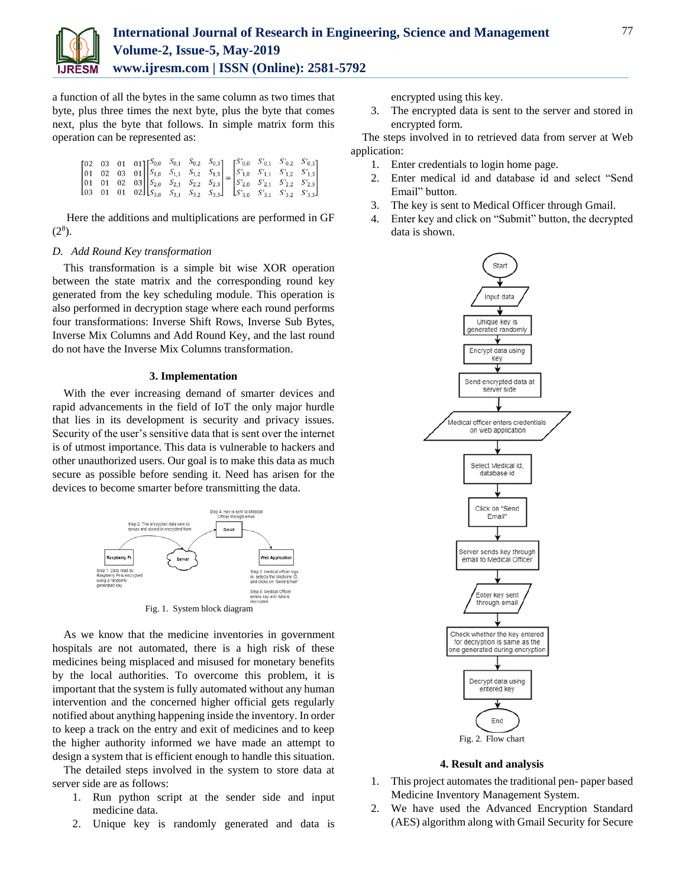

a function of all the bytes in the same column as two times that byte, plus three times the next byte, plus the byte that comes next, plus the byte that follows. In simple matrix form this operation can be represented as:

|  | $\begin{bmatrix} 02 & 03 & 01 & 01 \\ 01 & 02 & 03 & 01 \\ 01 & 01 & 02 & 03 \\ 03 & 01 & 01 & 02 \end{bmatrix} \begin{bmatrix} S_{0,0} & S_{0,1} & S_{0,2} & S_{0,3} \\ S_{1,0} & S_{1,1} & S_{1,2} & S_{1,3} \\ S_{2,0} & S_{2,1} & S_{2,2} & S_{2,3} \\ S_{3,0} & S_{3,1} & S_{3,2} & S_{3,3} \end{bmatrix} = \begin{bmatrix} S'_{0,0} & S'_{0,1}$ |  |  |  |  |
|--|-------------------------------------------------------------------------------------------------------------------------------------------------------------------------------------------------------------------------------------------------------------------------------------------------------------------------------------------------------|--|--|--|--|
|  |                                                                                                                                                                                                                                                                                                                                                       |  |  |  |  |

Here the additions and multiplications are performed in GF  $(2^8)$ .

#### *D. Add Round Key transformation*

This transformation is a simple bit wise XOR operation between the state matrix and the corresponding round key generated from the key scheduling module. This operation is also performed in decryption stage where each round performs four transformations: Inverse Shift Rows, Inverse Sub Bytes, Inverse Mix Columns and Add Round Key, and the last round do not have the Inverse Mix Columns transformation.

## **3. Implementation**

With the ever increasing demand of smarter devices and rapid advancements in the field of IoT the only major hurdle that lies in its development is security and privacy issues. Security of the user's sensitive data that is sent over the internet is of utmost importance. This data is vulnerable to hackers and other unauthorized users. Our goal is to make this data as much secure as possible before sending it. Need has arisen for the devices to become smarter before transmitting the data.



Fig. 1. System block diagram

As we know that the medicine inventories in government hospitals are not automated, there is a high risk of these medicines being misplaced and misused for monetary benefits by the local authorities. To overcome this problem, it is important that the system is fully automated without any human intervention and the concerned higher official gets regularly notified about anything happening inside the inventory. In order to keep a track on the entry and exit of medicines and to keep the higher authority informed we have made an attempt to design a system that is efficient enough to handle this situation.

The detailed steps involved in the system to store data at server side are as follows:

- 1. Run python script at the sender side and input medicine data.
- 2. Unique key is randomly generated and data is

encrypted using this key.

3. The encrypted data is sent to the server and stored in encrypted form.

The steps involved in to retrieved data from server at Web application:

- 1. Enter credentials to login home page.
- 2. Enter medical id and database id and select "Send Email" button.
- 3. The key is sent to Medical Officer through Gmail.
- 4. Enter key and click on "Submit" button, the decrypted data is shown.



#### **4. Result and analysis**

- 1. This project automates the traditional pen- paper based Medicine Inventory Management System.
- 2. We have used the Advanced Encryption Standard (AES) algorithm along with Gmail Security for Secure